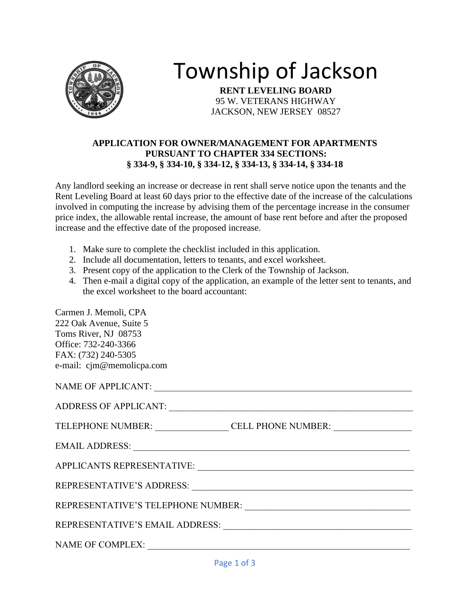

# Township of Jackson

**RENT LEVELING BOARD** 95 W. VETERANS HIGHWAY JACKSON, NEW JERSEY 08527

## **APPLICATION FOR OWNER/MANAGEMENT FOR APARTMENTS PURSUANT TO CHAPTER 334 SECTIONS: § 334-9, § 334-10, § 334-12, § 334-13, § 334-14, § 334-18**

Any landlord seeking an increase or decrease in rent shall serve notice upon the tenants and the Rent Leveling Board at least 60 days prior to the effective date of the increase of the calculations involved in computing the increase by advising them of the percentage increase in the consumer price index, the allowable rental increase, the amount of base rent before and after the proposed increase and the effective date of the proposed increase.

- 1. Make sure to complete the checklist included in this application.
- 2. Include all documentation, letters to tenants, and excel worksheet.
- 3. Present copy of the application to the Clerk of the Township of Jackson.
- 4. Then e-mail a digital copy of the application, an example of the letter sent to tenants, and the excel worksheet to the board accountant:

| Carmen J. Memoli, CPA                                                                                                                                                                                                          |
|--------------------------------------------------------------------------------------------------------------------------------------------------------------------------------------------------------------------------------|
| 222 Oak Avenue, Suite 5                                                                                                                                                                                                        |
| Toms River, NJ 08753                                                                                                                                                                                                           |
| Office: 732-240-3366                                                                                                                                                                                                           |
| FAX: (732) 240-5305                                                                                                                                                                                                            |
| e-mail: cjm@memolicpa.com                                                                                                                                                                                                      |
|                                                                                                                                                                                                                                |
|                                                                                                                                                                                                                                |
|                                                                                                                                                                                                                                |
| TELEPHONE NUMBER: CELL PHONE NUMBER:                                                                                                                                                                                           |
|                                                                                                                                                                                                                                |
|                                                                                                                                                                                                                                |
| REPRESENTATIVE'S ADDRESS: University of the contract of the contract of the contract of the contract of the contract of the contract of the contract of the contract of the contract of the contract of the contract of the co |
|                                                                                                                                                                                                                                |
| REPRESENTATIVE'S EMAIL ADDRESS: University of the set of the set of the set of the set of the set of the set of the set of the set of the set of the set of the set of the set of the set of the set of the set of the set of  |
|                                                                                                                                                                                                                                |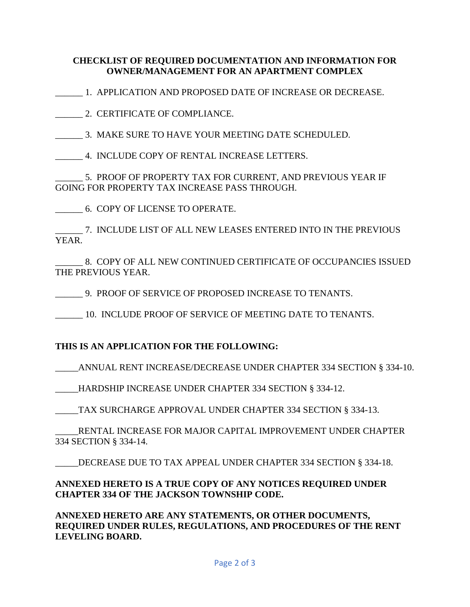## **CHECKLIST OF REQUIRED DOCUMENTATION AND INFORMATION FOR OWNER/MANAGEMENT FOR AN APARTMENT COMPLEX**

\_\_\_\_\_\_ 1. APPLICATION AND PROPOSED DATE OF INCREASE OR DECREASE.

\_\_\_\_\_\_ 2. CERTIFICATE OF COMPLIANCE.

\_\_\_\_\_\_ 3. MAKE SURE TO HAVE YOUR MEETING DATE SCHEDULED.

\_\_\_\_\_\_ 4. INCLUDE COPY OF RENTAL INCREASE LETTERS.

5. PROOF OF PROPERTY TAX FOR CURRENT, AND PREVIOUS YEAR IF GOING FOR PROPERTY TAX INCREASE PASS THROUGH.

\_\_\_\_\_\_ 6. COPY OF LICENSE TO OPERATE.

\_\_\_\_\_\_ 7. INCLUDE LIST OF ALL NEW LEASES ENTERED INTO IN THE PREVIOUS YEAR.

8. COPY OF ALL NEW CONTINUED CERTIFICATE OF OCCUPANCIES ISSUED THE PREVIOUS YEAR.

\_\_\_\_\_\_ 9. PROOF OF SERVICE OF PROPOSED INCREASE TO TENANTS.

\_\_\_\_\_\_ 10. INCLUDE PROOF OF SERVICE OF MEETING DATE TO TENANTS.

## **THIS IS AN APPLICATION FOR THE FOLLOWING:**

\_\_\_\_\_ANNUAL RENT INCREASE/DECREASE UNDER CHAPTER 334 SECTION § 334-10.

\_\_\_\_\_HARDSHIP INCREASE UNDER CHAPTER 334 SECTION § 334-12.

\_\_\_\_\_TAX SURCHARGE APPROVAL UNDER CHAPTER 334 SECTION § 334-13.

RENTAL INCREASE FOR MAJOR CAPITAL IMPROVEMENT UNDER CHAPTER 334 SECTION § 334-14.

DECREASE DUE TO TAX APPEAL UNDER CHAPTER 334 SECTION § 334-18.

## **ANNEXED HERETO IS A TRUE COPY OF ANY NOTICES REQUIRED UNDER CHAPTER 334 OF THE JACKSON TOWNSHIP CODE.**

**ANNEXED HERETO ARE ANY STATEMENTS, OR OTHER DOCUMENTS, REQUIRED UNDER RULES, REGULATIONS, AND PROCEDURES OF THE RENT LEVELING BOARD.**